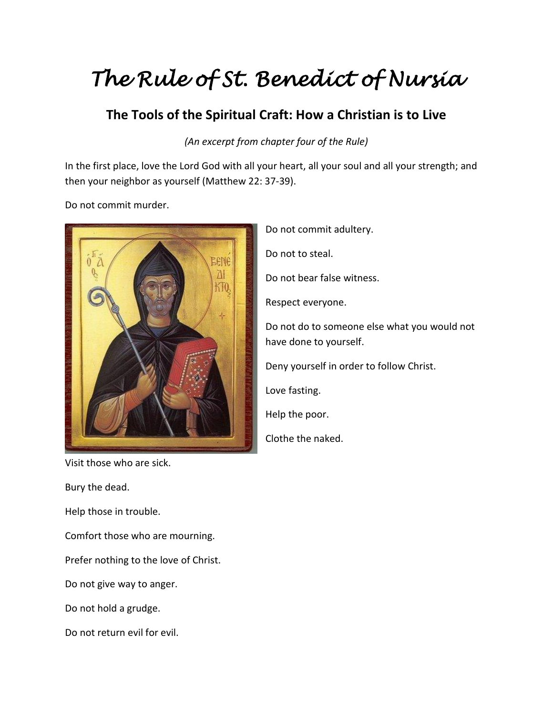## *The Rule of St. Benedict of Nursia*

## **The Tools of the Spiritual Craft: How a Christian is to Live**

## *(An excerpt from chapter four of the Rule)*

In the first place, love the Lord God with all your heart, all your soul and all your strength; and then your neighbor as yourself (Matthew 22: 37-39).

Do not commit murder.



Visit those who are sick.

Bury the dead.

Help those in trouble.

Comfort those who are mourning.

Prefer nothing to the love of Christ.

Do not give way to anger.

Do not hold a grudge.

Do not return evil for evil.

Do not commit adultery. Do not to steal. Do not bear false witness. Respect everyone. Do not do to someone else what you would not have done to yourself. Deny yourself in order to follow Christ. Love fasting. Help the poor. Clothe the naked.